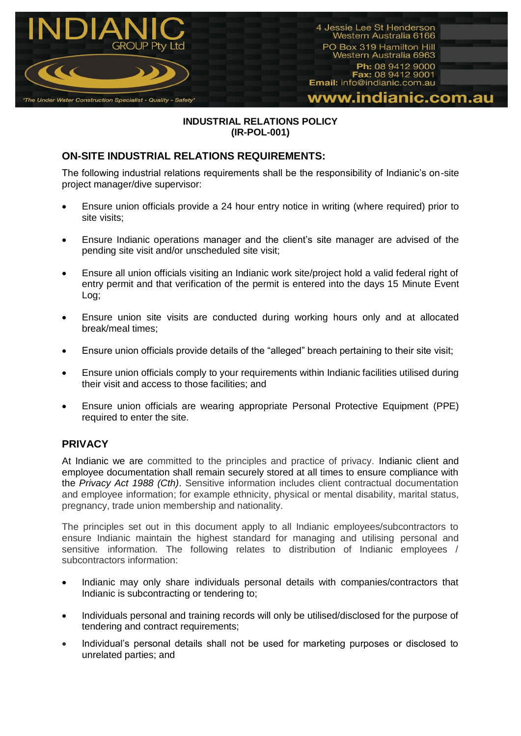

## **INDUSTRIAL RELATIONS POLICY (IR-POL-001)**

## **ON-SITE INDUSTRIAL RELATIONS REQUIREMENTS:**

The following industrial relations requirements shall be the responsibility of Indianic's on-site project manager/dive supervisor:

- Ensure union officials provide a 24 hour entry notice in writing (where required) prior to site visits;
- Ensure Indianic operations manager and the client's site manager are advised of the pending site visit and/or unscheduled site visit;
- Ensure all union officials visiting an Indianic work site/project hold a valid federal right of entry permit and that verification of the permit is entered into the days 15 Minute Event Log;
- Ensure union site visits are conducted during working hours only and at allocated break/meal times;
- Ensure union officials provide details of the "alleged" breach pertaining to their site visit;
- Ensure union officials comply to your requirements within Indianic facilities utilised during their visit and access to those facilities; and
- Ensure union officials are wearing appropriate Personal Protective Equipment (PPE) required to enter the site.

## **PRIVACY**

At Indianic we are committed to the principles and practice of privacy. Indianic client and employee documentation shall remain securely stored at all times to ensure compliance with the *Privacy Act 1988 (Cth)*. Sensitive information includes client contractual documentation and employee information; for example ethnicity, physical or mental disability, marital status, pregnancy, trade union membership and nationality.

The principles set out in this document apply to all Indianic employees/subcontractors to ensure Indianic maintain the highest standard for managing and utilising personal and sensitive information. The following relates to distribution of Indianic employees / subcontractors information:

- Indianic may only share individuals personal details with companies/contractors that Indianic is subcontracting or tendering to;
- Individuals personal and training records will only be utilised/disclosed for the purpose of tendering and contract requirements;
- Individual's personal details shall not be used for marketing purposes or disclosed to unrelated parties; and